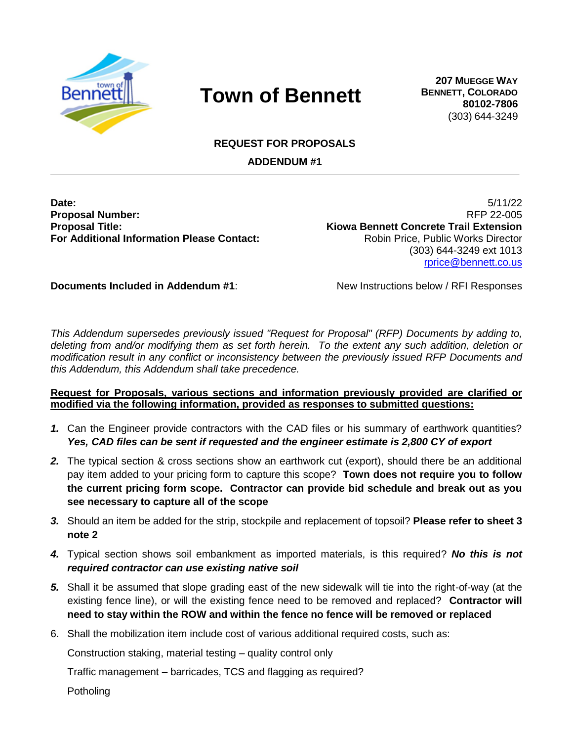

## **Town of Bennett**

**207 MUEGGE WAY BENNETT, COLORADO 80102-7806** (303) 644-3249

**REQUEST FOR PROPOSALS**

**ADDENDUM #1**

**Proposal Number:** RFP 22-005 **Proposal Title: Kiowa Bennett Concrete Trail Extension For Additional Information Please Contact:** Robin Price, Public Works Director

**Date:** 5/11/22 (303) 644-3249 ext 1013 [rprice@bennett.co.us](mailto:rprice@bennett.co.us)

**Documents Included in Addendum #1:** New Instructions below / RFI Responses

*This Addendum supersedes previously issued "Request for Proposal" (RFP) Documents by adding to, deleting from and/or modifying them as set forth herein. To the extent any such addition, deletion or modification result in any conflict or inconsistency between the previously issued RFP Documents and this Addendum, this Addendum shall take precedence.* 

## **Request for Proposals, various sections and information previously provided are clarified or modified via the following information, provided as responses to submitted questions:**

- *1.* Can the Engineer provide contractors with the CAD files or his summary of earthwork quantities? *Yes, CAD files can be sent if requested and the engineer estimate is 2,800 CY of export*
- *2.* The typical section & cross sections show an earthwork cut (export), should there be an additional pay item added to your pricing form to capture this scope? **Town does not require you to follow the current pricing form scope. Contractor can provide bid schedule and break out as you see necessary to capture all of the scope**
- *3.* Should an item be added for the strip, stockpile and replacement of topsoil? **Please refer to sheet 3 note 2**
- *4.* Typical section shows soil embankment as imported materials, is this required? *No this is not required contractor can use existing native soil*
- *5.* Shall it be assumed that slope grading east of the new sidewalk will tie into the right-of-way (at the existing fence line), or will the existing fence need to be removed and replaced? **Contractor will need to stay within the ROW and within the fence no fence will be removed or replaced**
- 6. Shall the mobilization item include cost of various additional required costs, such as:

Construction staking, material testing – quality control only

Traffic management – barricades, TCS and flagging as required?

Potholing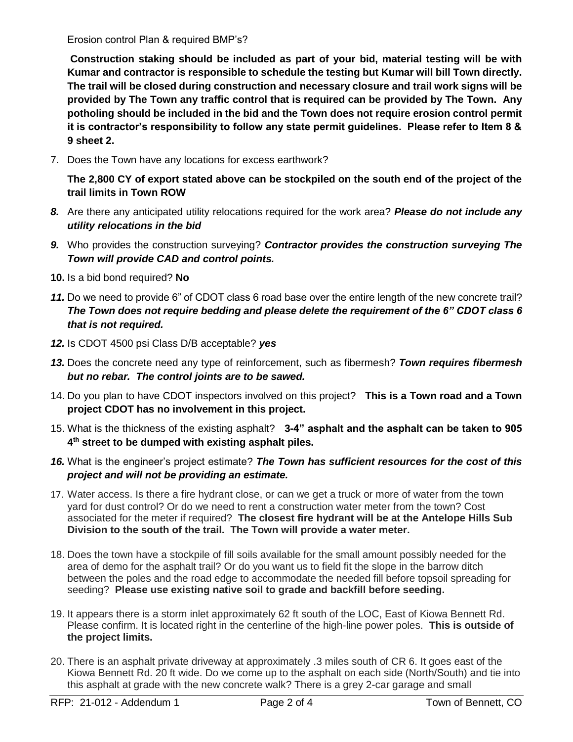Erosion control Plan & required BMP's?

**Construction staking should be included as part of your bid, material testing will be with Kumar and contractor is responsible to schedule the testing but Kumar will bill Town directly. The trail will be closed during construction and necessary closure and trail work signs will be provided by The Town any traffic control that is required can be provided by The Town. Any potholing should be included in the bid and the Town does not require erosion control permit it is contractor's responsibility to follow any state permit guidelines. Please refer to Item 8 & 9 sheet 2.**

7. Does the Town have any locations for excess earthwork?

**The 2,800 CY of export stated above can be stockpiled on the south end of the project of the trail limits in Town ROW**

- *8.* Are there any anticipated utility relocations required for the work area? *Please do not include any utility relocations in the bid*
- *9.* Who provides the construction surveying? *Contractor provides the construction surveying The Town will provide CAD and control points.*
- **10.** Is a bid bond required? **No**
- *11.* Do we need to provide 6" of CDOT class 6 road base over the entire length of the new concrete trail? *The Town does not require bedding and please delete the requirement of the 6" CDOT class 6 that is not required.*
- *12.* Is CDOT 4500 psi Class D/B acceptable? *yes*
- *13.* Does the concrete need any type of reinforcement, such as fibermesh? *Town requires fibermesh but no rebar. The control joints are to be sawed.*
- 14. Do you plan to have CDOT inspectors involved on this project? **This is a Town road and a Town project CDOT has no involvement in this project.**
- 15. What is the thickness of the existing asphalt? **3-4" asphalt and the asphalt can be taken to 905 4 th street to be dumped with existing asphalt piles.**
- *16.* What is the engineer's project estimate? *The Town has sufficient resources for the cost of this project and will not be providing an estimate.*
- 17. Water access. Is there a fire hydrant close, or can we get a truck or more of water from the town yard for dust control? Or do we need to rent a construction water meter from the town? Cost associated for the meter if required? **The closest fire hydrant will be at the Antelope Hills Sub Division to the south of the trail. The Town will provide a water meter.**
- 18. Does the town have a stockpile of fill soils available for the small amount possibly needed for the area of demo for the asphalt trail? Or do you want us to field fit the slope in the barrow ditch between the poles and the road edge to accommodate the needed fill before topsoil spreading for seeding? **Please use existing native soil to grade and backfill before seeding.**
- 19. It appears there is a storm inlet approximately 62 ft south of the LOC, East of Kiowa Bennett Rd. Please confirm. It is located right in the centerline of the high-line power poles. **This is outside of the project limits.**
- 20. There is an asphalt private driveway at approximately .3 miles south of CR 6. It goes east of the Kiowa Bennett Rd. 20 ft wide. Do we come up to the asphalt on each side (North/South) and tie into this asphalt at grade with the new concrete walk? There is a grey 2-car garage and small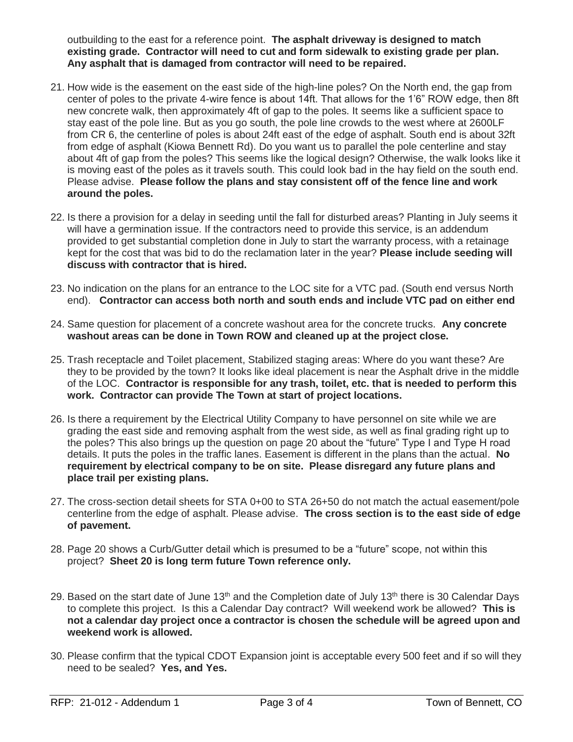outbuilding to the east for a reference point. **The asphalt driveway is designed to match existing grade. Contractor will need to cut and form sidewalk to existing grade per plan. Any asphalt that is damaged from contractor will need to be repaired.**

- 21. How wide is the easement on the east side of the high-line poles? On the North end, the gap from center of poles to the private 4-wire fence is about 14ft. That allows for the 1'6" ROW edge, then 8ft new concrete walk, then approximately 4ft of gap to the poles. It seems like a sufficient space to stay east of the pole line. But as you go south, the pole line crowds to the west where at 2600LF from CR 6, the centerline of poles is about 24ft east of the edge of asphalt. South end is about 32ft from edge of asphalt (Kiowa Bennett Rd). Do you want us to parallel the pole centerline and stay about 4ft of gap from the poles? This seems like the logical design? Otherwise, the walk looks like it is moving east of the poles as it travels south. This could look bad in the hay field on the south end. Please advise. **Please follow the plans and stay consistent off of the fence line and work around the poles.**
- 22. Is there a provision for a delay in seeding until the fall for disturbed areas? Planting in July seems it will have a germination issue. If the contractors need to provide this service, is an addendum provided to get substantial completion done in July to start the warranty process, with a retainage kept for the cost that was bid to do the reclamation later in the year? **Please include seeding will discuss with contractor that is hired.**
- 23. No indication on the plans for an entrance to the LOC site for a VTC pad. (South end versus North end). **Contractor can access both north and south ends and include VTC pad on either end**
- 24. Same question for placement of a concrete washout area for the concrete trucks. **Any concrete washout areas can be done in Town ROW and cleaned up at the project close.**
- 25. Trash receptacle and Toilet placement, Stabilized staging areas: Where do you want these? Are they to be provided by the town? It looks like ideal placement is near the Asphalt drive in the middle of the LOC. **Contractor is responsible for any trash, toilet, etc. that is needed to perform this work. Contractor can provide The Town at start of project locations.**
- 26. Is there a requirement by the Electrical Utility Company to have personnel on site while we are grading the east side and removing asphalt from the west side, as well as final grading right up to the poles? This also brings up the question on page 20 about the "future" Type I and Type H road details. It puts the poles in the traffic lanes. Easement is different in the plans than the actual. **No requirement by electrical company to be on site. Please disregard any future plans and place trail per existing plans.**
- 27. The cross-section detail sheets for STA 0+00 to STA 26+50 do not match the actual easement/pole centerline from the edge of asphalt. Please advise. **The cross section is to the east side of edge of pavement.**
- 28. Page 20 shows a Curb/Gutter detail which is presumed to be a "future" scope, not within this project? **Sheet 20 is long term future Town reference only.**
- 29. Based on the start date of June 13<sup>th</sup> and the Completion date of July 13<sup>th</sup> there is 30 Calendar Days to complete this project. Is this a Calendar Day contract? Will weekend work be allowed? **This is not a calendar day project once a contractor is chosen the schedule will be agreed upon and weekend work is allowed.**
- 30. Please confirm that the typical CDOT Expansion joint is acceptable every 500 feet and if so will they need to be sealed? **Yes, and Yes.**